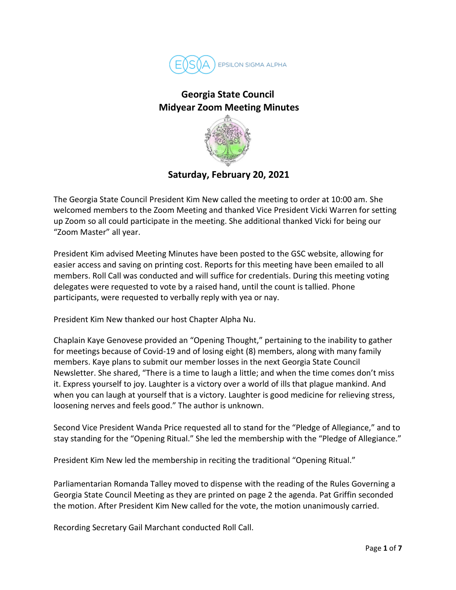

## **Georgia State Council Midyear Zoom Meeting Minutes**



**Saturday, February 20, 2021**

The Georgia State Council President Kim New called the meeting to order at 10:00 am. She welcomed members to the Zoom Meeting and thanked Vice President Vicki Warren for setting up Zoom so all could participate in the meeting. She additional thanked Vicki for being our "Zoom Master" all year.

President Kim advised Meeting Minutes have been posted to the GSC website, allowing for easier access and saving on printing cost. Reports for this meeting have been emailed to all members. Roll Call was conducted and will suffice for credentials. During this meeting voting delegates were requested to vote by a raised hand, until the count is tallied. Phone participants, were requested to verbally reply with yea or nay.

President Kim New thanked our host Chapter Alpha Nu.

Chaplain Kaye Genovese provided an "Opening Thought," pertaining to the inability to gather for meetings because of Covid-19 and of losing eight (8) members, along with many family members. Kaye plans to submit our member losses in the next Georgia State Council Newsletter. She shared, "There is a time to laugh a little; and when the time comes don't miss it. Express yourself to joy. Laughter is a victory over a world of ills that plague mankind. And when you can laugh at yourself that is a victory. Laughter is good medicine for relieving stress, loosening nerves and feels good." The author is unknown.

Second Vice President Wanda Price requested all to stand for the "Pledge of Allegiance," and to stay standing for the "Opening Ritual." She led the membership with the "Pledge of Allegiance."

President Kim New led the membership in reciting the traditional "Opening Ritual."

Parliamentarian Romanda Talley moved to dispense with the reading of the Rules Governing a Georgia State Council Meeting as they are printed on page 2 the agenda. Pat Griffin seconded the motion. After President Kim New called for the vote, the motion unanimously carried.

Recording Secretary Gail Marchant conducted Roll Call.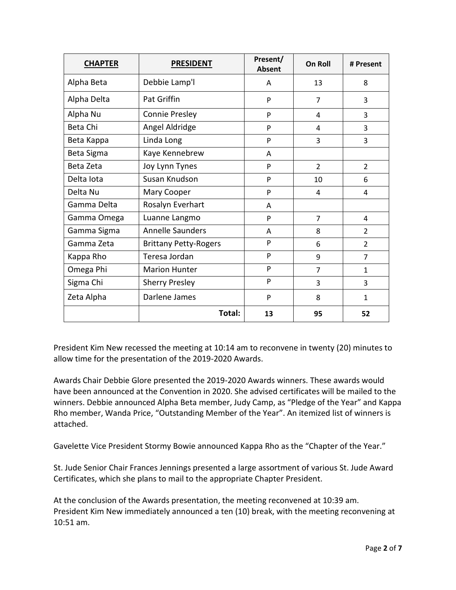| <b>CHAPTER</b> | <b>PRESIDENT</b>             | Present/<br><b>Absent</b> | <b>On Roll</b> | # Present      |
|----------------|------------------------------|---------------------------|----------------|----------------|
| Alpha Beta     | Debbie Lamp'l                | A                         | 13             | 8              |
| Alpha Delta    | <b>Pat Griffin</b>           | P                         | $\overline{7}$ | 3              |
| Alpha Nu       | <b>Connie Presley</b>        | P                         | 4              | 3              |
| Beta Chi       | Angel Aldridge               | P                         | 4              | 3              |
| Beta Kappa     | Linda Long                   | P                         | 3              | 3              |
| Beta Sigma     | Kaye Kennebrew               | A                         |                |                |
| Beta Zeta      | Joy Lynn Tynes               | P                         | $\mathcal{P}$  | $\overline{2}$ |
| Delta lota     | Susan Knudson                | P                         | 10             | 6              |
| Delta Nu       | Mary Cooper                  | P                         | 4              | 4              |
| Gamma Delta    | Rosalyn Everhart             | A                         |                |                |
| Gamma Omega    | Luanne Langmo                | P                         | $\overline{7}$ | 4              |
| Gamma Sigma    | <b>Annelle Saunders</b>      | A                         | 8              | $\overline{2}$ |
| Gamma Zeta     | <b>Brittany Petty-Rogers</b> | P                         | 6              | $\overline{2}$ |
| Kappa Rho      | Teresa Jordan                | P                         | 9              | $\overline{7}$ |
| Omega Phi      | <b>Marion Hunter</b>         | P                         | $\overline{7}$ | $\mathbf{1}$   |
| Sigma Chi      | <b>Sherry Presley</b>        | P                         | 3              | 3              |
| Zeta Alpha     | Darlene James                | P                         | 8              | $\mathbf{1}$   |
|                | Total:                       | 13                        | 95             | 52             |

President Kim New recessed the meeting at 10:14 am to reconvene in twenty (20) minutes to allow time for the presentation of the 2019-2020 Awards.

Awards Chair Debbie Glore presented the 2019-2020 Awards winners. These awards would have been announced at the Convention in 2020. She advised certificates will be mailed to the winners. Debbie announced Alpha Beta member, Judy Camp, as "Pledge of the Year" and Kappa Rho member, Wanda Price, "Outstanding Member of the Year". An itemized list of winners is attached.

Gavelette Vice President Stormy Bowie announced Kappa Rho as the "Chapter of the Year."

St. Jude Senior Chair Frances Jennings presented a large assortment of various St. Jude Award Certificates, which she plans to mail to the appropriate Chapter President.

At the conclusion of the Awards presentation, the meeting reconvened at 10:39 am. President Kim New immediately announced a ten (10) break, with the meeting reconvening at 10:51 am.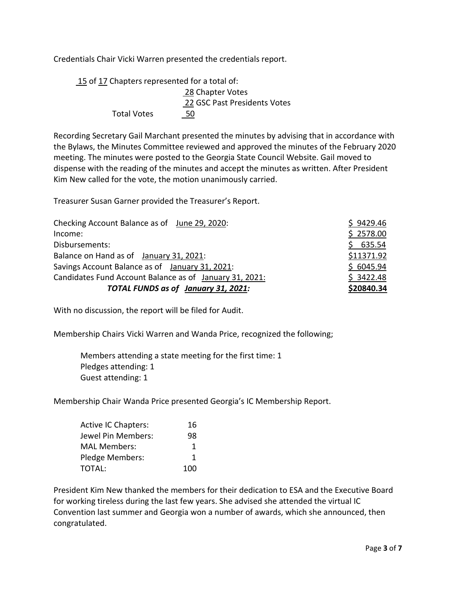Credentials Chair Vicki Warren presented the credentials report.

15 of 17 Chapters represented for a total of: 28 Chapter Votes 22 GSC Past Presidents Votes Total Votes 50

Recording Secretary Gail Marchant presented the minutes by advising that in accordance with the Bylaws, the Minutes Committee reviewed and approved the minutes of the February 2020 meeting. The minutes were posted to the Georgia State Council Website. Gail moved to dispense with the reading of the minutes and accept the minutes as written. After President Kim New called for the vote, the motion unanimously carried.

Treasurer Susan Garner provided the Treasurer's Report.

| Checking Account Balance as of June 29, 2020:           | \$9429.46  |
|---------------------------------------------------------|------------|
| Income:                                                 | \$2578.00  |
| Disbursements:                                          | \$635.54   |
| Balance on Hand as of January 31, 2021:                 | \$11371.92 |
| Savings Account Balance as of January 31, 2021:         | \$6045.94  |
| Candidates Fund Account Balance as of January 31, 2021: | \$3422.48  |
| TOTAL FUNDS as of January 31, 2021:                     | \$20840.34 |

With no discussion, the report will be filed for Audit.

Membership Chairs Vicki Warren and Wanda Price, recognized the following;

Members attending a state meeting for the first time: 1 Pledges attending: 1 Guest attending: 1

Membership Chair Wanda Price presented Georgia's IC Membership Report.

| <b>Active IC Chapters:</b> | 16  |
|----------------------------|-----|
| Jewel Pin Members:         | 98  |
| <b>MAL Members:</b>        | 1   |
| Pledge Members:            | 1   |
| TOTAL:                     | 100 |

President Kim New thanked the members for their dedication to ESA and the Executive Board for working tireless during the last few years. She advised she attended the virtual IC Convention last summer and Georgia won a number of awards, which she announced, then congratulated.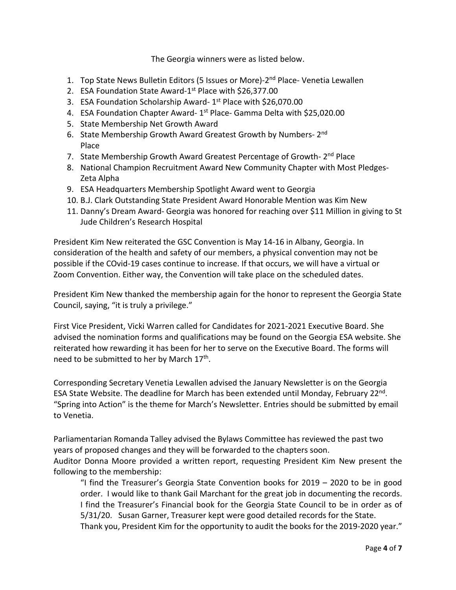The Georgia winners were as listed below.

- 1. Top State News Bulletin Editors (5 Issues or More)-2<sup>nd</sup> Place- Venetia Lewallen
- 2. ESA Foundation State Award-1<sup>st</sup> Place with \$26,377.00
- 3. ESA Foundation Scholarship Award- 1<sup>st</sup> Place with \$26,070.00
- 4. ESA Foundation Chapter Award-1<sup>st</sup> Place- Gamma Delta with \$25,020.00
- 5. State Membership Net Growth Award
- 6. State Membership Growth Award Greatest Growth by Numbers- 2nd Place
- 7. State Membership Growth Award Greatest Percentage of Growth- 2<sup>nd</sup> Place
- 8. National Champion Recruitment Award New Community Chapter with Most Pledges-Zeta Alpha
- 9. ESA Headquarters Membership Spotlight Award went to Georgia
- 10. B.J. Clark Outstanding State President Award Honorable Mention was Kim New
- 11. Danny's Dream Award- Georgia was honored for reaching over \$11 Million in giving to St Jude Children's Research Hospital

President Kim New reiterated the GSC Convention is May 14-16 in Albany, Georgia. In consideration of the health and safety of our members, a physical convention may not be possible if the COvid-19 cases continue to increase. If that occurs, we will have a virtual or Zoom Convention. Either way, the Convention will take place on the scheduled dates.

President Kim New thanked the membership again for the honor to represent the Georgia State Council, saying, "it is truly a privilege."

First Vice President, Vicki Warren called for Candidates for 2021-2021 Executive Board. She advised the nomination forms and qualifications may be found on the Georgia ESA website. She reiterated how rewarding it has been for her to serve on the Executive Board. The forms will need to be submitted to her by March 17<sup>th</sup>.

Corresponding Secretary Venetia Lewallen advised the January Newsletter is on the Georgia ESA State Website. The deadline for March has been extended until Monday, February  $22^{nd}$ . "Spring into Action" is the theme for March's Newsletter. Entries should be submitted by email to Venetia.

Parliamentarian Romanda Talley advised the Bylaws Committee has reviewed the past two years of proposed changes and they will be forwarded to the chapters soon.

Auditor Donna Moore provided a written report, requesting President Kim New present the following to the membership:

"I find the Treasurer's Georgia State Convention books for 2019 – 2020 to be in good order. I would like to thank Gail Marchant for the great job in documenting the records. I find the Treasurer's Financial book for the Georgia State Council to be in order as of 5/31/20. Susan Garner, Treasurer kept were good detailed records for the State.

Thank you, President Kim for the opportunity to audit the books for the 2019-2020 year."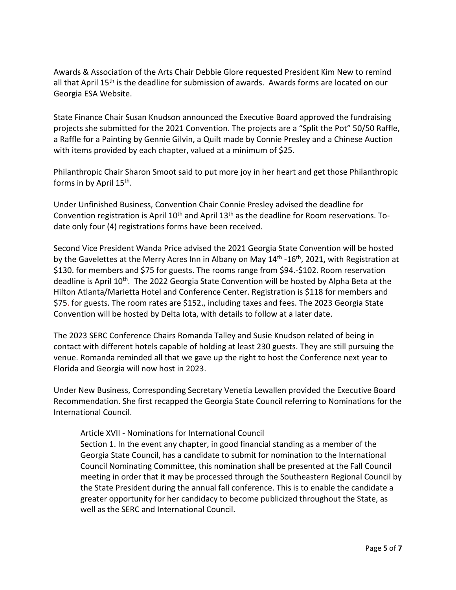Awards & Association of the Arts Chair Debbie Glore requested President Kim New to remind all that April 15<sup>th</sup> is the deadline for submission of awards. Awards forms are located on our Georgia ESA Website.

State Finance Chair Susan Knudson announced the Executive Board approved the fundraising projects she submitted for the 2021 Convention. The projects are a "Split the Pot" 50/50 Raffle, a Raffle for a Painting by Gennie Gilvin, a Quilt made by Connie Presley and a Chinese Auction with items provided by each chapter, valued at a minimum of \$25.

Philanthropic Chair Sharon Smoot said to put more joy in her heart and get those Philanthropic forms in by April  $15<sup>th</sup>$ .

Under Unfinished Business, Convention Chair Connie Presley advised the deadline for Convention registration is April  $10<sup>th</sup>$  and April  $13<sup>th</sup>$  as the deadline for Room reservations. Todate only four (4) registrations forms have been received.

Second Vice President Wanda Price advised the 2021 Georgia State Convention will be hosted by the Gavelettes at the Merry Acres Inn in Albany on May 14<sup>th</sup> -16<sup>th</sup>, 2021, with Registration at \$130. for members and \$75 for guests. The rooms range from \$94.-\$102. Room reservation deadline is April 10<sup>th</sup>. The 2022 Georgia State Convention will be hosted by Alpha Beta at the Hilton Atlanta/Marietta Hotel and Conference Center. Registration is \$118 for members and \$75. for guests. The room rates are \$152., including taxes and fees. The 2023 Georgia State Convention will be hosted by Delta Iota, with details to follow at a later date.

The 2023 SERC Conference Chairs Romanda Talley and Susie Knudson related of being in contact with different hotels capable of holding at least 230 guests. They are still pursuing the venue. Romanda reminded all that we gave up the right to host the Conference next year to Florida and Georgia will now host in 2023.

Under New Business, Corresponding Secretary Venetia Lewallen provided the Executive Board Recommendation. She first recapped the Georgia State Council referring to Nominations for the International Council.

## Article XVII - Nominations for International Council

Section 1. In the event any chapter, in good financial standing as a member of the Georgia State Council, has a candidate to submit for nomination to the International Council Nominating Committee, this nomination shall be presented at the Fall Council meeting in order that it may be processed through the Southeastern Regional Council by the State President during the annual fall conference. This is to enable the candidate a greater opportunity for her candidacy to become publicized throughout the State, as well as the SERC and International Council.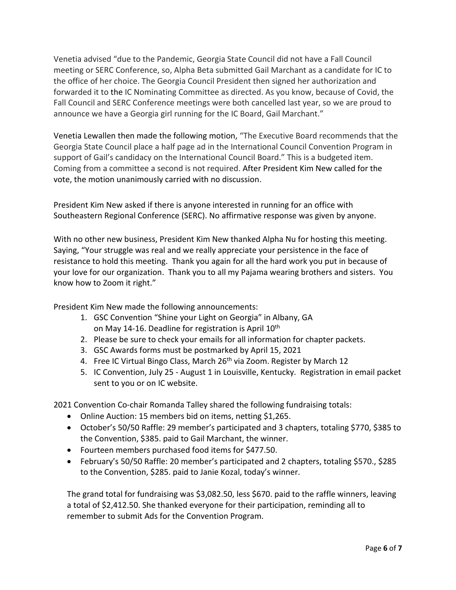Venetia advised "due to the Pandemic, Georgia State Council did not have a Fall Council meeting or SERC Conference, so, Alpha Beta submitted Gail Marchant as a candidate for IC to the office of her choice. The Georgia Council President then signed her authorization and forwarded it to the IC Nominating Committee as directed. As you know, because of Covid, the Fall Council and SERC Conference meetings were both cancelled last year, so we are proud to announce we have a Georgia girl running for the IC Board, Gail Marchant."

Venetia Lewallen then made the following motion, "The Executive Board recommends that the Georgia State Council place a half page ad in the International Council Convention Program in support of Gail's candidacy on the International Council Board." This is a budgeted item. Coming from a committee a second is not required. After President Kim New called for the vote, the motion unanimously carried with no discussion.

President Kim New asked if there is anyone interested in running for an office with Southeastern Regional Conference (SERC). No affirmative response was given by anyone.

With no other new business, President Kim New thanked Alpha Nu for hosting this meeting. Saying, "Your struggle was real and we really appreciate your persistence in the face of resistance to hold this meeting. Thank you again for all the hard work you put in because of your love for our organization. Thank you to all my Pajama wearing brothers and sisters. You know how to Zoom it right."

President Kim New made the following announcements:

- 1. GSC Convention "Shine your Light on Georgia" in Albany, GA on May 14-16. Deadline for registration is April 10<sup>th</sup>
- 2. Please be sure to check your emails for all information for chapter packets.
- 3. GSC Awards forms must be postmarked by April 15, 2021
- 4. Free IC Virtual Bingo Class, March 26<sup>th</sup> via Zoom. Register by March 12
- 5. IC Convention, July 25 August 1 in Louisville, Kentucky. Registration in email packet sent to you or on IC website.

2021 Convention Co-chair Romanda Talley shared the following fundraising totals:

- Online Auction: 15 members bid on items, netting \$1,265.
- October's 50/50 Raffle: 29 member's participated and 3 chapters, totaling \$770, \$385 to the Convention, \$385. paid to Gail Marchant, the winner.
- Fourteen members purchased food items for \$477.50.
- February's 50/50 Raffle: 20 member's participated and 2 chapters, totaling \$570., \$285 to the Convention, \$285. paid to Janie Kozal, today's winner.

The grand total for fundraising was \$3,082.50, less \$670. paid to the raffle winners, leaving a total of \$2,412.50. She thanked everyone for their participation, reminding all to remember to submit Ads for the Convention Program.